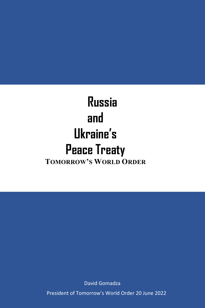# **Russia and Ukraine's Peace Treaty TOMORROW'S WORLD ORDER**

David Gomadza

President of Tomorrow's World Order 20 June 2022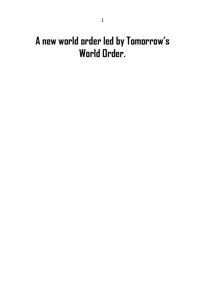# **A new world order led by Tomorrow' s World Order.**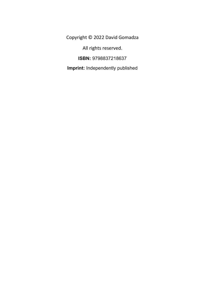Copyright © 2022 David Gomadza

All rights reserved.

**ISBN:** 9798837218637

**Imprint:** Independently published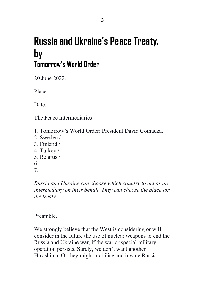# **Russia and Ukraine's Peace Treaty. by Tomorrow's World Order**

20 June 2022.

Place:

Date:

The Peace Intermediaries

- 1. Tomorrow's World Order: President David Gomadza.
- 2. Sweden /
- 3. Finland /
- 4. Turkey /
- 5. Belarus /
- 6.
- 7.

*Russia and Ukraine can choose which country to act as an intermediary on their behalf. They can choose the place for the treaty.*

## Preamble.

We strongly believe that the West is considering or will consider in the future the use of nuclear weapons to end the Russia and Ukraine war, if the war or special military operation persists. Surely, we don't want another Hiroshima. Or they might mobilise and invade Russia.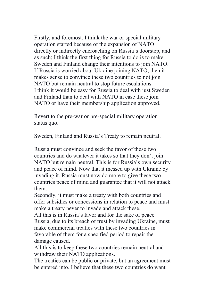Firstly, and foremost, I think the war or special military operation started because of the expansion of NATO directly or indirectly encroaching on Russia's doorstep, and as such; I think the first thing for Russia to do is to make Sweden and Finland change their intentions to join NATO. If Russia is worried about Ukraine joining NATO, then it makes sense to convince these two countries to not join NATO but remain neutral to stop future escalations. I think it would be easy for Russia to deal with just Sweden and Finland than to deal with NATO in case these join NATO or have their membership application approved.

Revert to the pre-war or pre-special military operation status quo.

Sweden, Finland and Russia's Treaty to remain neutral.

Russia must convince and seek the favor of these two countries and do whatever it takes so that they don't join NATO but remain neutral. This is for Russia's own security and peace of mind. Now that it messed up with Ukraine by invading it. Russia must now do more to give these two countries peace of mind and guarantee that it will not attack them.

Secondly, it must make a treaty with both countries and offer subsidies or concessions in relation to peace and must make a treaty never to invade and attack these.

All this is in Russia's favor and for the sake of peace. Russia, due to its breach of trust by invading Ukraine, must make commercial treaties with these two countries in favorable of them for a specified period to repair the damage caused.

All this is to keep these two countries remain neutral and withdraw their NATO applications.

The treaties can be public or private, but an agreement must be entered into. I believe that these two countries do want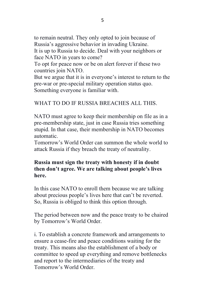to remain neutral. They only opted to join because of Russia's aggressive behavior in invading Ukraine.

It is up to Russia to decide. Deal with your neighbors or face NATO in years to come?

To opt for peace now or be on alert forever if these two countries join NATO.

But we argue that it is in everyone's interest to return to the pre-war or pre-special military operation status quo. Something everyone is familiar with.

### WHAT TO DO IF RUSSIA BREACHES ALL THIS.

NATO must agree to keep their membership on file as in a pre-membership state, just in case Russia tries something stupid. In that case, their membership in NATO becomes automatic.

Tomorrow's World Order can summon the whole world to attack Russia if they breach the treaty of neutrality.

### **Russia must sign the treaty with honesty if in doubt then don't agree. We are talking about people's lives here.**

In this case NATO to enroll them because we are talking about precious people's lives here that can't be reverted. So, Russia is obliged to think this option through.

The period between now and the peace treaty to be chaired by Tomorrow's World Order.

i. To establish a concrete framework and arrangements to ensure a cease-fire and peace conditions waiting for the treaty. This means also the establishment of a body or committee to speed up everything and remove bottlenecks and report to the intermediaries of the treaty and Tomorrow's World Order.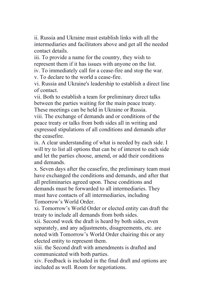ii. Russia and Ukraine must establish links with all the intermediaries and facilitators above and get all the needed contact details.

iii. To provide a name for the country, they wish to represent them if it has issues with anyone on the list.

iv. To immediately call for a cease-fire and stop the war.

v. To declare to the world a cease-fire.

vi. Russia and Ukraine's leadership to establish a direct line of contact.

vii. Both to establish a team for preliminary direct talks between the parties waiting for the main peace treaty. These meetings can be held in Ukraine or Russia.

viii. The exchange of demands and or conditions of the peace treaty or talks from both sides all in writing and expressed stipulations of all conditions and demands after the ceasefire.

ix. A clear understanding of what is needed by each side. I will try to list all options that can be of interest to each side and let the parties choose, amend, or add their conditions and demands.

x. Seven days after the ceasefire, the preliminary team must have exchanged the conditions and demands, and after that all preliminaries agreed upon. These conditions and demands must be forwarded to all intermediaries. They must have contacts of all intermediaries, including Tomorrow's World Order.

xi. Tomorrow's World Order or elected entity can draft the treaty to include all demands from both sides.

xii. Second week the draft is heard by both sides, even separately, and any adjustments, disagreements, etc. are noted with Tomorrow's World Order chairing this or any elected entity to represent them.

xiii. the Second draft with amendments is drafted and communicated with both parties.

xiv. Feedback is included in the final draft and options are included as well. Room for negotiations.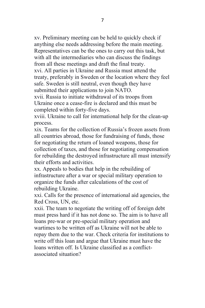xv. Preliminary meeting can be held to quickly check if anything else needs addressing before the main meeting. Representatives can be the ones to carry out this task, but with all the intermediaries who can discuss the findings from all these meetings and draft the final treaty.

xvi. All parties in Ukraine and Russia must attend the treaty, preferably in Sweden or the location where they feel safe. Sweden is still neutral, even though they have submitted their applications to join NATO.

xvii. Russia to initiate withdrawal of its troops from Ukraine once a cease-fire is declared and this must be completed within forty-five days.

xviii. Ukraine to call for international help for the clean-up process.

xix. Teams for the collection of Russia's frozen assets from all countries abroad, those for fundraising of funds, those for negotiating the return of loaned weapons, those for collection of taxes, and those for negotiating compensation for rebuilding the destroyed infrastructure all must intensify their efforts and activities.

xx. Appeals to bodies that help in the rebuilding of infrastructure after a war or special military operation to organize the funds after calculations of the cost of rebuilding Ukraine.

xxi. Calls for the presence of international aid agencies, the Red Cross, UN, etc.

xxii. The team to negotiate the writing off of foreign debt must press hard if it has not done so. The aim is to have all loans pre-war or pre-special military operation and wartimes to be written off as Ukraine will not be able to repay them due to the war. Check criteria for institutions to write off this loan and argue that Ukraine must have the loans written off. Is Ukraine classified as a conflictassociated situation?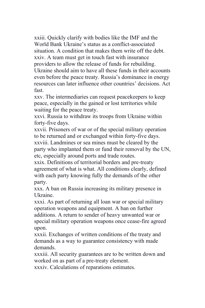xxiii. Quickly clarify with bodies like the IMF and the World Bank Ukraine's status as a conflict-associated situation. A condition that makes them write off the debt. xxiv. A team must get in touch fast with insurance providers to allow the release of funds for rebuilding. Ukraine should aim to have all these funds in their accounts even before the peace treaty. Russia's dominance in energy resources can later influence other countries' decisions. Act fast.

xxv. The intermediaries can request peacekeepers to keep peace, especially in the gained or lost territories while waiting for the peace treaty.

xxvi. Russia to withdraw its troops from Ukraine within forty-five days.

xxvii. Prisoners of war or of the special military operation to be returned and or exchanged within forty-five days. xxviii. Landmines or sea mines must be cleared by the party who implanted them or fund their removal by the UN, etc, especially around ports and trade routes.

xxix. Definitions of territorial borders and pre-treaty agreement of what is what. All conditions clearly, defined with each party knowing fully the demands of the other party.

xxx. A ban on Russia increasing its military presence in Ukraine.

xxxi. As part of returning all loan war or special military operation weapons and equipment. A ban on further additions. A return to sender of heavy unwanted war or special military operation weapons once cease-fire agreed upon.

xxxii. Exchanges of written conditions of the treaty and demands as a way to guarantee consistency with made demands.

xxxiii. All security guarantees are to be written down and worked on as part of a pre-treaty element.

xxxiv. Calculations of reparations estimates.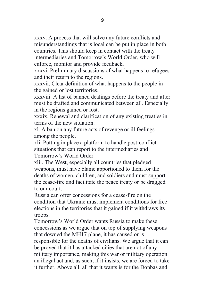xxxv. A process that will solve any future conflicts and misunderstandings that is local can be put in place in both countries. This should keep in contact with the treaty intermediaries and Tomorrow's World Order, who will enforce, monitor and provide feedback.

xxxvi. Preliminary discussions of what happens to refugees and their return to the regions.

xxxvii. Clear definition of what happens to the people in the gained or lost territories.

xxxviii. A list of banned dealings before the treaty and after must be drafted and communicated between all. Especially in the regions gained or lost.

xxxix. Renewal and clarification of any existing treaties in terms of the new situation.

xl. A ban on any future acts of revenge or ill feelings among the people.

xli. Putting in place a platform to handle post-conflict situations that can report to the intermediaries and Tomorrow's World Order.

xlii. The West, especially all countries that pledged weapons, must have blame apportioned to them for the deaths of women, children, and soldiers and must support the cease-fire and facilitate the peace treaty or be dragged to our court.

Russia can offer concessions for a cease-fire on the condition that Ukraine must implement conditions for free elections in the territories that it gained if it withdraws its troops.

Tomorrow's World Order wants Russia to make these concessions as we argue that on top of supplying weapons that downed the MH17 plane, it has caused or is responsible for the deaths of civilians. We argue that it can be proved that it has attacked cities that are not of any military importance, making this war or military operation an illegal act and, as such, if it insists, we are forced to take it further. Above all, all that it wants is for the Donbas and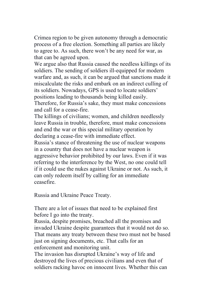Crimea region to be given autonomy through a democratic process of a free election. Something all parties are likely to agree to. As such, there won't be any need for war, as that can be agreed upon.

We argue also that Russia caused the needless killings of its soldiers. The sending of soldiers ill-equipped for modern warfare and, as such, it can be argued that sanctions made it miscalculate the risks and embark on an indirect culling of its soldiers. Nowadays, GPS is used to locate soldiers' positions leading to thousands being killed easily. Therefore, for Russia's sake, they must make concessions and call for a cease-fire.

The killings of civilians; women, and children needlessly leave Russia in trouble, therefore, must make concessions and end the war or this special military operation by declaring a cease-fire with immediate effect.

Russia's stance of threatening the use of nuclear weapons in a country that does not have a nuclear weapon is aggressive behavior prohibited by our laws. Even if it was referring to the interference by the West, no one could tell if it could use the nukes against Ukraine or not. As such, it can only redeem itself by calling for an immediate ceasefire.

Russia and Ukraine Peace Treaty.

There are a lot of issues that need to be explained first before I go into the treaty.

Russia, despite promises, breached all the promises and invaded Ukraine despite guarantees that it would not do so. That means any treaty between these two must not be based just on signing documents, etc. That calls for an enforcement and monitoring unit.

The invasion has disrupted Ukraine's way of life and destroyed the lives of precious civilians and even that of soldiers racking havoc on innocent lives. Whether this can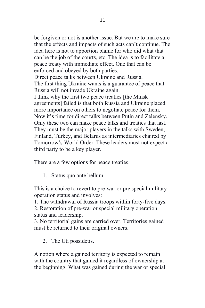be forgiven or not is another issue. But we are to make sure that the effects and impacts of such acts can't continue. The idea here is not to apportion blame for who did what that can be the job of the courts, etc. The idea is to facilitate a peace treaty with immediate effect. One that can be enforced and obeyed by both parties. Direct peace talks between Ukraine and Russia. The first thing Ukraine wants is a guarantee of peace that Russia will not invade Ukraine again. I think why the first two peace treaties [the Minsk

agreements] failed is that both Russia and Ukraine placed more importance on others to negotiate peace for them. Now it's time for direct talks between Putin and Zelensky. Only these two can make peace talks and treaties that last. They must be the major players in the talks with Sweden, Finland, Turkey, and Belarus as intermediaries chaired by Tomorrow's World Order. These leaders must not expect a third party to be a key player.

There are a few options for peace treaties.

1. Status quo ante bellum.

This is a choice to revert to pre-war or pre special military operation status and involves:

1. The withdrawal of Russia troops within forty-five days.

2. Restoration of pre-war or special military operation status and leadership.

3. No territorial gains are carried over. Territories gained must be returned to their original owners.

2. The Uti possidetis.

A notion where a gained territory is expected to remain with the country that gained it regardless of ownership at the beginning. What was gained during the war or special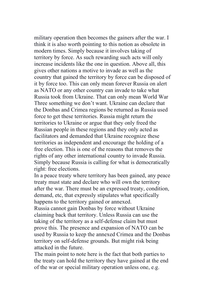military operation then becomes the gainers after the war. I think it is also worth pointing to this notion as obsolete in modern times. Simply because it involves taking of territory by force. As such rewarding such acts will only increase incidents like the one in question. Above all, this gives other nations a motive to invade as well as the country that gained the territory by force can be disposed of it by force too. This can only mean forever Russia on alert as NATO or any other country can invade to take what Russia took from Ukraine. That can only mean World War Three something we don't want. Ukraine can declare that the Donbas and Crimea regions be returned as Russia used force to get these territories. Russia might return the territories to Ukraine or argue that they only freed the Russian people in these regions and they only acted as facilitators and demanded that Ukraine recognize these territories as independent and encourage the holding of a free election. This is one of the reasons that removes the rights of any other international country to invade Russia. Simply because Russia is calling for what is democratically right: free elections.

In a peace treaty where territory has been gained, any peace treaty must state and declare who will own the territory after the war. There must be an expressed treaty, condition, demand, etc, that expressly stipulates what specifically happens to the territory gained or annexed.

Russia cannot gain Donbas by force without Ukraine claiming back that territory. Unless Russia can use the taking of the territory as a self-defense claim but must prove this. The presence and expansion of NATO can be used by Russia to keep the annexed Crimea and the Donbas territory on self-defense grounds. But might risk being attacked in the future.

The main point to note here is the fact that both parties to the treaty can hold the territory they have gained at the end of the war or special military operation unless one, e.g.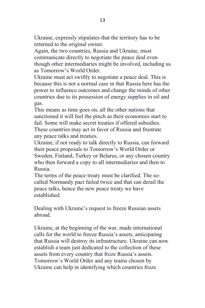Ukraine, expressly stipulates that the territory has to be returned to the original owner.

Again, the two countries, Russia and Ukraine, must communicate directly to negotiate the peace deal even though other intermediaries might be involved, including us as Tomorrow's World Order.

Ukraine must act swiftly to negotiate a peace deal. This is because this is not a normal case in that Russia here has the power to influence outcomes and change the minds of other countries due to its possession of energy supplies in oil and gas.

This means as time goes on, all the other nations that sanctioned it will feel the pinch as their economies start to fail. Some will make secret treaties if offered subsidies. These countries may act in favor of Russia and frustrate any peace talks and treaties.

Ukraine, if not ready to talk directly to Russia, can forward their peace proposals to Tomorrow's World Order or Sweden, Finland, Turkey or Belarus, or any chosen country who then forward a copy to all intermediaries and then to Russia.

The terms of the peace treaty must be clarified. The socalled Normandy pact failed twice and that can derail the peace talks, hence the new peace treaty we have established.

Dealing with Ukraine's request to freeze Russian assets abroad.

Ukraine, at the beginning of the war, made international calls for the world to freeze Russia's assets, anticipating that Russia will destroy its infrastructure. Ukraine can now establish a team just dedicated to the collection of these assets from every country that froze Russia's assets. Tomorrow's World Order and any teams chosen by Ukraine can help in identifying which countries froze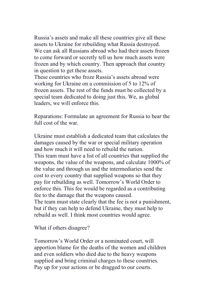Russia's assets and make all these countries give all these assets to Ukraine for rebuilding what Russia destroyed. We can ask all Russians abroad who had their assets frozen to come forward or secretly tell us how much assets were frozen and by which country. Then approach that country in question to get these assets.

These countries who froze Russia's assets abroad were working for Ukraine on a commission of 5 to 12% of frozen assets. The rest of the funds must be collected by a special team dedicated to doing just this. We, as global leaders, we will enforce this.

Reparations: Formulate an agreement for Russia to bear the full cost of the war.

Ukraine must establish a dedicated team that calculates the damages caused by the war or special military operation and how much it will need to rebuild the nation. This team must have a list of all countries that supplied the weapons, the value of the weapons, and calculate 1000% of the value and through us and the intermediaries send the cost to every country that supplied weapons so that they pay for rebuilding as well. Tomorrow's World Order to enforce this. This fee would be regarded as a contributing fee to the damage that the weapons caused. The team must state clearly that the fee is not a punishment,

but if they can help to defend Ukraine, they must help to rebuild as well. I think most countries would agree.

What if others disagree?

Tomorrow's World Order or a nominated court, will apportion blame for the deaths of the women and children and even soldiers who died due to the heavy weapons supplied and bring criminal charges to these countries. Pay up for your actions or be dragged to our courts.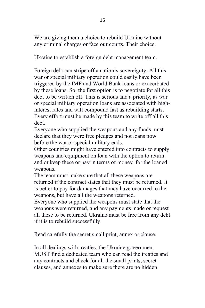We are giving them a choice to rebuild Ukraine without any criminal charges or face our courts. Their choice.

Ukraine to establish a foreign debt management team.

Foreign debt can stripe off a nation's sovereignty. All this war or special military operation could easily have been triggered by the IMF and World Bank loans or exacerbated by these loans. So, the first option is to negotiate for all this debt to be written off. This is serious and a priority, as war or special military operation loans are associated with highinterest rates and will compound fast as rebuilding starts. Every effort must be made by this team to write off all this debt.

Everyone who supplied the weapons and any funds must declare that they were free pledges and not loans now before the war or special military ends.

Other countries might have entered into contracts to supply weapons and equipment on loan with the option to return and or keep these or pay in terms of money for the loaned weapons.

The team must make sure that all these weapons are returned if the contract states that they must be returned. It is better to pay for damages that may have occurred to the weapons, but have all the weapons returned.

Everyone who supplied the weapons must state that the weapons were returned, and any payments made or request all these to be returned. Ukraine must be free from any debt if it is to rebuild successfully.

Read carefully the secret small print, annex or clause.

In all dealings with treaties, the Ukraine government MUST find a dedicated team who can read the treaties and any contracts and check for all the small prints, secret clauses, and annexes to make sure there are no hidden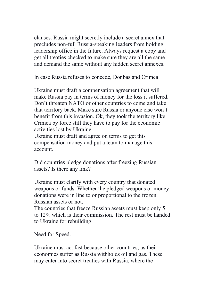clauses. Russia might secretly include a secret annex that precludes non-full Russia-speaking leaders from holding leadership office in the future. Always request a copy and get all treaties checked to make sure they are all the same and demand the same without any hidden secret annexes.

In case Russia refuses to concede, Donbas and Crimea.

Ukraine must draft a compensation agreement that will make Russia pay in terms of money for the loss it suffered. Don't threaten NATO or other countries to come and take that territory back. Make sure Russia or anyone else won't benefit from this invasion. Ok, they took the territory like Crimea by force still they have to pay for the economic activities lost by Ukraine.

Ukraine must draft and agree on terms to get this compensation money and put a team to manage this account.

Did countries pledge donations after freezing Russian assets? Is there any link?

Ukraine must clarify with every country that donated weapons or funds. Whether the pledged weapons or money donations were in line to or proportional to the frozen Russian assets or not.

The countries that freeze Russian assets must keep only 5 to 12% which is their commission. The rest must be handed to Ukraine for rebuilding.

Need for Speed.

Ukraine must act fast because other countries; as their economies suffer as Russia withholds oil and gas. These may enter into secret treaties with Russia, where the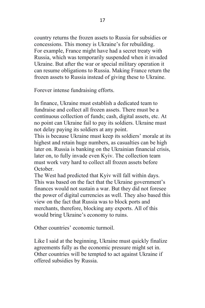country returns the frozen assets to Russia for subsidies or concessions. This money is Ukraine's for rebuilding. For example, France might have had a secret treaty with Russia, which was temporarily suspended when it invaded Ukraine. But after the war or special military operation it can resume obligations to Russia. Making France return the frozen assets to Russia instead of giving these to Ukraine.

Forever intense fundraising efforts.

In finance, Ukraine must establish a dedicated team to fundraise and collect all frozen assets. There must be a continuous collection of funds; cash, digital assets, etc. At no point can Ukraine fail to pay its soldiers. Ukraine must not delay paying its soldiers at any point.

This is because Ukraine must keep its soldiers' morale at its highest and retain huge numbers, as casualties can be high later on. Russia is banking on the Ukrainian financial crisis, later on, to fully invade even Kyiv. The collection team must work very hard to collect all frozen assets before October.

The West had predicted that Kyiv will fall within days. This was based on the fact that the Ukraine government's finances would not sustain a war. But they did not foresee the power of digital currencies as well. They also based this view on the fact that Russia was to block ports and merchants, therefore, blocking any exports. All of this would bring Ukraine's economy to ruins.

Other countries' economic turmoil.

Like I said at the beginning, Ukraine must quickly finalize agreements fully as the economic pressure might set in. Other countries will be tempted to act against Ukraine if offered subsidies by Russia.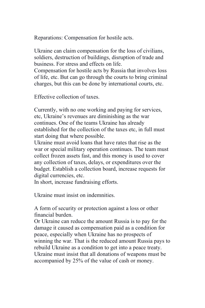Reparations: Compensation for hostile acts.

Ukraine can claim compensation for the loss of civilians, soldiers, destruction of buildings, disruption of trade and business. For stress and effects on life.

Compensation for hostile acts by Russia that involves loss of life, etc. But can go through the courts to bring criminal charges, but this can be done by international courts, etc.

Effective collection of taxes.

Currently, with no one working and paying for services, etc, Ukraine's revenues are diminishing as the war continues. One of the teams Ukraine has already established for the collection of the taxes etc, in full must start doing that where possible.

Ukraine must avoid loans that have rates that rise as the war or special military operation continues. The team must collect frozen assets fast, and this money is used to cover any collection of taxes, delays, or expenditures over the budget. Establish a collection board, increase requests for digital currencies, etc.

In short, increase fundraising efforts.

Ukraine must insist on indemnities.

A form of security or protection against a loss or other financial burden.

Or Ukraine can reduce the amount Russia is to pay for the damage it caused as compensation paid as a condition for peace, especially when Ukraine has no prospects of winning the war. That is the reduced amount Russia pays to rebuild Ukraine as a condition to get into a peace treaty. Ukraine must insist that all donations of weapons must be accompanied by 25% of the value of cash or money.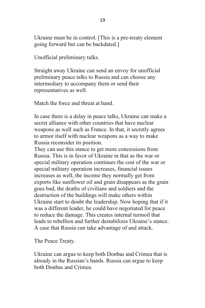Ukraine must be in control. [This is a pre-treaty element going forward but can be backdated.]

Unofficial preliminary talks.

Straight away Ukraine can send an envoy for unofficial preliminary peace talks to Russia and can choose any intermediary to accompany them or send their representatives as well.

Match the force and threat at hand.

In case there is a delay in peace talks, Ukraine can make a secret alliance with other countries that have nuclear weapons as well such as France. In that, it secretly agrees to armor itself with nuclear weapons as a way to make Russia reconsider its position.

They can use this stance to get more concessions from Russia. This is in favor of Ukraine in that as the war or special military operation continues the cost of the war or special military operation increases, financial issues increases as well, the income they normally get from exports like sunflower oil and grain disappears as the grain goes bad, the deaths of civilians and soldiers and the destruction of the buildings will make others within Ukraine start to doubt the leadership. Now hoping that if it was a different leader, he could have negotiated for peace to reduce the damage. This creates internal turmoil that leads to rebellion and further destabilizes Ukraine's stance. A case that Russia can take advantage of and attack.

The Peace Treaty.

Ukraine can argue to keep both Donbas and Crimea that is already in the Russian's hands. Russia can argue to keep both Donbas and Crimea.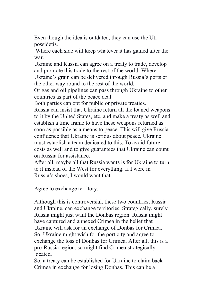Even though the idea is outdated, they can use the Uti possidetis.

Where each side will keep whatever it has gained after the war.

Ukraine and Russia can agree on a treaty to trade, develop and promote this trade to the rest of the world. Where Ukraine's grain can be delivered through Russia's ports or the other way round to the rest of the world.

Or gas and oil pipelines can pass through Ukraine to other countries as part of the peace deal.

Both parties can opt for public or private treaties.

Russia can insist that Ukraine return all the loaned weapons to it by the United States, etc, and make a treaty as well and establish a time frame to have these weapons returned as soon as possible as a means to peace. This will give Russia confidence that Ukraine is serious about peace. Ukraine must establish a team dedicated to this. To avoid future costs as well and to give guarantees that Ukraine can count on Russia for assistance.

After all, maybe all that Russia wants is for Ukraine to turn to it instead of the West for everything. If I were in Russia's shoes, I would want that.

Agree to exchange territory.

Although this is controversial, these two countries, Russia and Ukraine, can exchange territories. Strategically, surely Russia might just want the Donbas region. Russia might have captured and annexed Crimea in the belief that Ukraine will ask for an exchange of Donbas for Crimea. So, Ukraine might wish for the port city and agree to exchange the loss of Donbas for Crimea. After all, this is a pro-Russia region, so might find Crimea strategically located.

So, a treaty can be established for Ukraine to claim back Crimea in exchange for losing Donbas. This can be a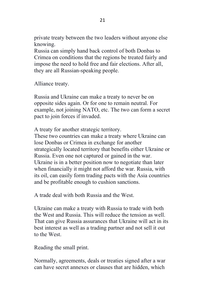private treaty between the two leaders without anyone else knowing.

Russia can simply hand back control of both Donbas to Crimea on conditions that the regions be treated fairly and impose the need to hold free and fair elections. After all, they are all Russian-speaking people.

Alliance treaty.

Russia and Ukraine can make a treaty to never be on opposite sides again. Or for one to remain neutral. For example, not joining NATO, etc. The two can form a secret pact to join forces if invaded.

A treaty for another strategic territory.

These two countries can make a treaty where Ukraine can lose Donbas or Crimea in exchange for another strategically located territory that benefits either Ukraine or Russia. Even one not captured or gained in the war. Ukraine is in a better position now to negotiate than later when financially it might not afford the war. Russia, with its oil, can easily form trading pacts with the Asia countries and be profitable enough to cushion sanctions.

A trade deal with both Russia and the West.

Ukraine can make a treaty with Russia to trade with both the West and Russia. This will reduce the tension as well. That can give Russia assurances that Ukraine will act in its best interest as well as a trading partner and not sell it out to the West.

Reading the small print.

Normally, agreements, deals or treaties signed after a war can have secret annexes or clauses that are hidden, which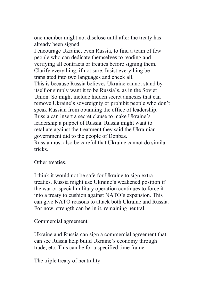one member might not disclose until after the treaty has already been signed.

I encourage Ukraine, even Russia, to find a team of few people who can dedicate themselves to reading and verifying all contracts or treaties before signing them. Clarify everything, if not sure. Insist everything be translated into two languages and check all. This is because Russia believes Ukraine cannot stand by itself or simply want it to be Russia's, as in the Soviet Union. So might include hidden secret annexes that can remove Ukraine's sovereignty or prohibit people who don't speak Russian from obtaining the office of leadership. Russia can insert a secret clause to make Ukraine's leadership a puppet of Russia. Russia might want to retaliate against the treatment they said the Ukrainian government did to the people of Donbas. Russia must also be careful that Ukraine cannot do similar tricks.

Other treaties.

I think it would not be safe for Ukraine to sign extra treaties. Russia might use Ukraine's weakened position if the war or special military operation continues to force it into a treaty to cushion against NATO's expansion. This can give NATO reasons to attack both Ukraine and Russia. For now, strength can be in it, remaining neutral.

Commercial agreement.

Ukraine and Russia can sign a commercial agreement that can see Russia help build Ukraine's economy through trade, etc. This can be for a specified time frame.

The triple treaty of neutrality.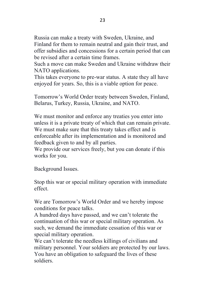Russia can make a treaty with Sweden, Ukraine, and

Finland for them to remain neutral and gain their trust, and offer subsidies and concessions for a certain period that can be revised after a certain time frames.

Such a move can make Sweden and Ukraine withdraw their NATO applications.

This takes everyone to pre-war status. A state they all have enjoyed for years. So, this is a viable option for peace.

Tomorrow's World Order treaty between Sweden, Finland, Belarus, Turkey, Russia, Ukraine, and NATO.

We must monitor and enforce any treaties you enter into unless it is a private treaty of which that can remain private. We must make sure that this treaty takes effect and is enforceable after its implementation and is monitored and feedback given to and by all parties.

We provide our services freely, but you can donate if this works for you.

Background Issues.

Stop this war or special military operation with immediate effect.

We are Tomorrow's World Order and we hereby impose conditions for peace talks.

A hundred days have passed, and we can't tolerate the continuation of this war or special military operation. As such, we demand the immediate cessation of this war or special military operation.

We can't tolerate the needless killings of civilians and military personnel. Your soldiers are protected by our laws. You have an obligation to safeguard the lives of these soldiers.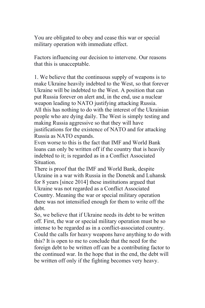You are obligated to obey and cease this war or special military operation with immediate effect.

Factors influencing our decision to intervene. Our reasons that this is unacceptable.

1. We believe that the continuous supply of weapons is to make Ukraine heavily indebted to the West, so that forever Ukraine will be indebted to the West. A position that can put Russia forever on alert and, in the end, use a nuclear weapon leading to NATO justifying attacking Russia. All this has nothing to do with the interest of the Ukrainian people who are dying daily. The West is simply testing and making Russia aggressive so that they will have justifications for the existence of NATO and for attacking Russia as NATO expands.

Even worse to this is the fact that IMF and World Bank loans can only be written off if the country that is heavily indebted to it; is regarded as in a Conflict Associated Situation.

There is proof that the IMF and World Bank, despite Ukraine in a war with Russia in the Donetsk and Luhansk for 8 years [since 2014] these institutions argued that Ukraine was not regarded as a Conflict Associated Country. Meaning the war or special military operation there was not intensified enough for them to write off the debt.

So, we believe that if Ukraine needs its debt to be written off. First, the war or special military operation must be so intense to be regarded as in a conflict-associated country. Could the calls for heavy weapons have anything to do with this? It is open to me to conclude that the need for the foreign debt to be written off can be a contributing factor to the continued war. In the hope that in the end, the debt will be written off only if the fighting becomes very heavy.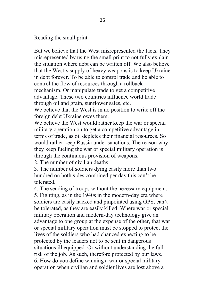Reading the small print.

But we believe that the West misrepresented the facts. They misrepresented by using the small print to not fully explain the situation where debt can be written off. We also believe that the West's supply of heavy weapons is to keep Ukraine in debt forever. To be able to control trade and be able to control the flow of resources through a rollback mechanism. Or manipulate trade to get a competitive advantage. These two countries influence world trade through oil and grain, sunflower sales, etc.

We believe that the West is in no position to write off the foreign debt Ukraine owes them.

We believe the West would rather keep the war or special military operation on to get a competitive advantage in terms of trade, as oil depletes their financial resources. So would rather keep Russia under sanctions. The reason why they keep fueling the war or special military operation is through the continuous provision of weapons.

2. The number of civilian deaths.

3. The number of soldiers dying easily more than two hundred on both sides combined per day this can't be tolerated.

4. The sending of troops without the necessary equipment. 5. Fighting, as in the 1940s in the modern-day era where soldiers are easily hacked and pinpointed using GPS, can't be tolerated, as they are easily killed. Where war or special military operation and modern-day technology give an advantage to one group at the expense of the other, that war or special military operation must be stopped to protect the lives of the soldiers who had chanced expecting to be protected by the leaders not to be sent in dangerous situations ill equipped. Or without understanding the full risk of the job. As such, therefore protected by our laws. 6. How do you define winning a war or special military operation when civilian and soldier lives are lost above a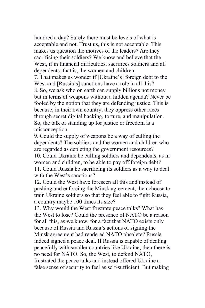hundred a day? Surely there must be levels of what is acceptable and not. Trust us, this is not acceptable. This makes us question the motives of the leaders? Are they sacrificing their soldiers? We know and believe that the West, if in financial difficulties, sacrifices soldiers and all dependents; that is, the women and children.

7. That makes us wonder if [Ukraine's] foreign debt to the West and [Russia's] sanctions have a role in all this? 8. So, we ask who on earth can supply billions not money but in terms of weapons without a hidden agenda? Never be fooled by the notion that they are defending justice. This is because, in their own country, they oppress other races through secret digital hacking, torture, and manipulation. So, the talk of standing up for justice or freedom is a misconception.

9. Could the supply of weapons be a way of culling the dependents? The soldiers and the women and children who are regarded as depleting the government resources? 10. Could Ukraine be culling soldiers and dependents, as in women and children, to be able to pay off foreign debt? 11. Could Russia be sacrificing its soldiers as a way to deal with the West's sanctions?

12. Could the West have foreseen all this and instead of pushing and enforcing the Minsk agreement, then choose to train Ukraine soldiers so that they feel able to fight Russia, a country maybe 100 times its size?

13. Why would the West frustrate peace talks? What has the West to lose? Could the presence of NATO be a reason for all this, as we know, for a fact that NATO exists only because of Russia and Russia's actions of signing the Minsk agreement had rendered NATO obsolete? Russia indeed signed a peace deal. If Russia is capable of dealing peacefully with smaller countries like Ukraine, then there is no need for NATO. So, the West, to defend NATO, frustrated the peace talks and instead offered Ukraine a false sense of security to feel as self-sufficient. But making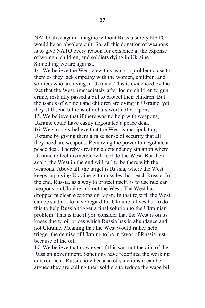NATO alive again. Imagine without Russia surely NATO would be an obsolete cult. So, all this donation of weapons is to give NATO every reason for existence at the expense of women, children, and soldiers dying in Ukraine. Something we are against.

14. We believe the West view this as not a problem close to them as they lack empathy with the women, children, and soldiers who are dying in Ukraine. This is evidenced by the fact that the West, immediately after losing children to gun crime, instantly passed a bill to protect their children. But thousands of women and children are dying in Ukraine, yet they still send billions of dollars worth of weapons. 15. We believe that if there was no help with weapons, Ukraine could have easily negotiated a peace deal. 16. We strongly believe that the West is manipulating Ukraine by giving them a false sense of security that all they need are weapons. Removing the power to negotiate a peace deal. Thereby creating a dependency situation where Ukraine to feel invincible will look to the West. But then again, the West in the end will fail to be there with the weapons. Above all, the target is Russia, where the West keeps supplying Ukraine with missiles that reach Russia. In the end, Russia, as a way to protect itself, is to use nuclear weapons on Ukraine and not the West. The West has dropped nuclear weapons on Japan. In that regard, the West can be said not to have regard for Ukraine's lives but to do this to help Russia trigger a final solution to the Ukrainian problem. This is true if you consider that the West is on its knees due to oil prices which Russia has in abundance and not Ukraine. Meaning that the West would rather help trigger the demise of Ukraine to be in favor of Russia just because of the oil.

17. We believe that now even if this was not the aim of the Russian government. Sanctions have redefined the working environment. Russia now because of sanctions it can be argued they are culling their soldiers to reduce the wage bill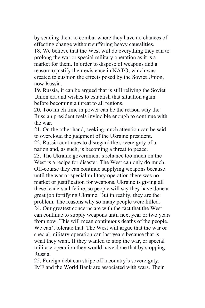by sending them to combat where they have no chances of effecting change without suffering heavy causalities. 18. We believe that the West will do everything they can to prolong the war or special military operation as it is a market for them. In order to dispose of weapons and a reason to justify their existence in NATO, which was created to cushion the effects posed by the Soviet Union, now Russia.

19. Russia, it can be argued that is still reliving the Soviet Union era and wishes to establish that situation again before becoming a threat to all regions.

20. Too much time in power can be the reason why the Russian president feels invincible enough to continue with the war.

21. On the other hand, seeking much attention can be said to overcloud the judgment of the Ukraine president.

22. Russia continues to disregard the sovereignty of a nation and, as such, is becoming a threat to peace.

23. The Ukraine government's reliance too much on the West is a recipe for disaster. The West can only do much. Off-course they can continue supplying weapons because until the war or special military operation there was no market or justification for weapons. Ukraine is giving all these leaders a lifeline, so people will say they have done a great job fortifying Ukraine. But in reality, they are the problem. The reasons why so many people were killed. 24. Our greatest concerns are with the fact that the West can continue to supply weapons until next year or two years from now. This will mean continuous deaths of the people. We can't tolerate that. The West will argue that the war or special military operation can last years because that is what they want. If they wanted to stop the war, or special military operation they would have done that by stopping Russia.

25. Foreign debt can stripe off a country's sovereignty. IMF and the World Bank are associated with wars. Their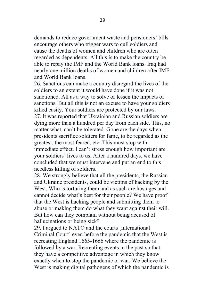demands to reduce government waste and pensioners' bills encourage others who trigger wars to cull soldiers and cause the deaths of women and children who are often regarded as dependents. All this is to make the country be able to repay the IMF and the World Bank loans. Iraq had nearly one million deaths of women and children after IMF and World Bank loans.

26. Sanctions can make a country disregard the lives of the soldiers to an extent it would have done if it was not sanctioned. All as a way to solve or lessen the impacts of sanctions. But all this is not an excuse to have your soldiers killed easily. Your soldiers are protected by our laws. 27. It was reported that Ukrainian and Russian soldiers are dying more than a hundred per day from each side. This, no matter what, can't be tolerated. Gone are the days when presidents sacrifice soldiers for fame, to be regarded as the greatest, the most feared, etc. This must stop with immediate effect. I can't stress enough how important are your soldiers' lives to us. After a hundred days, we have concluded that we must intervene and put an end to this needless killing of soldiers.

28. We strongly believe that all the presidents, the Russian and Ukraine presidents, could be victims of hacking by the West. Who is torturing them and as such are hostages and cannot decide what's best for their people? We have proof that the West is hacking people and submitting them to abuse or making them do what they want against their will. But how can they complain without being accused of hallucinations or being sick?

29. I argued to NATO and the courts [international Criminal Court] even before the pandemic that the West is recreating England 1665-1666 where the pandemic is followed by a war. Recreating events in the past so that they have a competitive advantage in which they know exactly when to stop the pandemic or war. We believe the West is making digital pathogens of which the pandemic is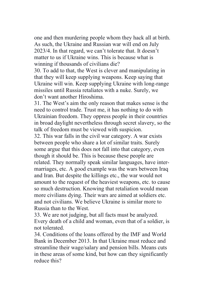one and then murdering people whom they hack all at birth. As such, the Ukraine and Russian war will end on July 2023/4. In that regard, we can't tolerate that. It doesn't matter to us if Ukraine wins. This is because what is winning if thousands of civilians die?

30. To add to that, the West is clever and manipulating in that they will keep supplying weapons. Keep saying that Ukraine will win. Keep supplying Ukraine with long-range missiles until Russia retaliates with a nuke. Surely, we don't want another Hiroshima.

31. The West's aim the only reason that makes sense is the need to control trade. Trust me, it has nothing to do with Ukrainian freedom. They oppress people in their countries in broad daylight nevertheless through secret slavery, so the talk of freedom must be viewed with suspicion.

32. This war falls in the civil war category. A war exists between people who share a lot of similar traits. Surely some argue that this does not fall into that category, even though it should be. This is because these people are related. They normally speak similar languages, have intermarriages, etc. A good example was the wars between Iraq and Iran. But despite the killings etc., the war would not amount to the request of the heaviest weapons, etc. to cause so much destruction. Knowing that retaliation would mean more civilians dying. Their wars are aimed at soldiers etc. and not civilians. We believe Ukraine is similar more to Russia than to the West.

33. We are not judging, but all facts must be analyzed. Every death of a child and woman, even that of a soldier, is not tolerated.

34. Conditions of the loans offered by the IMF and World Bank in December 2013. In that Ukraine must reduce and streamline their wage/salary and pension bills. Means cuts in these areas of some kind, but how can they significantly reduce this?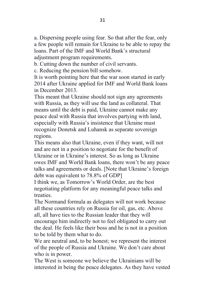a. Dispersing people using fear. So that after the fear, only a few people will remain for Ukraine to be able to repay the loans. Part of the IMF and World Bank's structural adjustment program requirements.

b. Cutting down the number of civil servants.

c. Reducing the pension bill somehow.

It is worth pointing here that the war soon started in early 2014 after Ukraine applied for IMF and World Bank loans in December 2013.

This meant that Ukraine should not sign any agreements with Russia, as they will use the land as collateral. That means until the debt is paid, Ukraine cannot make any peace deal with Russia that involves partying with land, especially with Russia's insistence that Ukraine must recognize Donetsk and Luhansk as separate sovereign regions.

This means also that Ukraine, even if they want, will not and are not in a position to negotiate for the benefit of Ukraine or in Ukraine's interest. So as long as Ukraine owes IMF and World Bank loans, there won't be any peace talks and agreements or deals. [Note that Ukraine's foreign debt was equivalent to 78.8% of GDP]

I think we, as Tomorrow's World Order, are the best negotiating platform for any meaningful peace talks and treaties.

The Normand formula as delegates will not work because all these countries rely on Russia for oil, gas, etc. Above all, all have ties to the Russian leader that they will encourage him indirectly not to feel obligated to carry out the deal. He feels like their boss and he is not in a position to be told by them what to do.

We are neutral and, to be honest; we represent the interest of the people of Russia and Ukraine. We don't care about who is in power.

The West is someone we believe the Ukrainians will be interested in being the peace delegates. As they have vested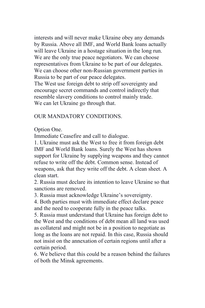interests and will never make Ukraine obey any demands by Russia. Above all IMF, and World Bank loans actually will leave Ukraine in a hostage situation in the long run. We are the only true peace negotiators. We can choose representatives from Ukraine to be part of our delegates. We can choose other non-Russian government parties in Russia to be part of our peace delegates.

The West use foreign debt to strip off sovereignty and encourage secret commands and control indirectly that resemble slavery conditions to control mainly trade. We can let Ukraine go through that.

### OUR MANDATORY CONDITIONS.

Option One.

Immediate Ceasefire and call to dialogue.

1. Ukraine must ask the West to free it from foreign debt IMF and World Bank loans. Surely the West has shown support for Ukraine by supplying weapons and they cannot refuse to write off the debt. Common sense. Instead of weapons, ask that they write off the debt. A clean sheet. A clean start.

2. Russia must declare its intention to leave Ukraine so that sanctions are removed.

3. Russia must acknowledge Ukraine's sovereignty.

4. Both parties must with immediate effect declare peace and the need to cooperate fully in the peace talks.

5. Russia must understand that Ukraine has foreign debt to the West and the conditions of debt mean all land was used as collateral and might not be in a position to negotiate as long as the loans are not repaid. In this case, Russia should not insist on the annexation of certain regions until after a certain period.

6. We believe that this could be a reason behind the failures of both the Minsk agreements.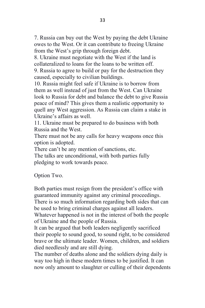7. Russia can buy out the West by paying the debt Ukraine owes to the West. Or it can contribute to freeing Ukraine from the West's grip through foreign debt.

8. Ukraine must negotiate with the West if the land is collateralized to loans for the loans to be written off.

9. Russia to agree to build or pay for the destruction they caused, especially to civilian buildings.

10. Russia might feel safe if Ukraine is to borrow from them as well instead of just from the West. Can Ukraine look to Russia for debt and balance the debt to give Russia peace of mind? This gives them a realistic opportunity to quell any West aggression. As Russia can claim a stake in Ukraine's affairs as well.

11. Ukraine must be prepared to do business with both Russia and the West.

There must not be any calls for heavy weapons once this option is adopted.

There can't be any mention of sanctions, etc.

The talks are unconditional, with both parties fully pledging to work towards peace.

Option Two.

Both parties must resign from the president's office with guaranteed immunity against any criminal proceedings. There is so much information regarding both sides that can be used to bring criminal charges against all leaders.

Whatever happened is not in the interest of both the people of Ukraine and the people of Russia.

It can be argued that both leaders negligently sacrificed their people to sound good, to sound right, to be considered brave or the ultimate leader. Women, children, and soldiers died needlessly and are still dying.

The number of deaths alone and the soldiers dying daily is way too high in these modern times to be justified. It can now only amount to slaughter or culling of their dependents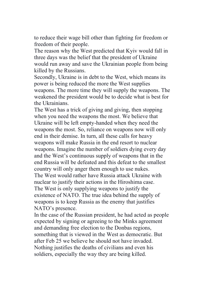to reduce their wage bill other than fighting for freedom or freedom of their people.

The reason why the West predicted that Kyiv would fall in three days was the belief that the president of Ukraine would run away and save the Ukrainian people from being killed by the Russians.

Secondly, Ukraine is in debt to the West, which means its power is being reduced the more the West supplies weapons. The more time they will supply the weapons. The weakened the president would be to decide what is best for the Ukrainians.

The West has a trick of giving and giving, then stopping when you need the weapons the most. We believe that Ukraine will be left empty-handed when they need the weapons the most. So, reliance on weapons now will only end in their demise. In turn, all these calls for heavy weapons will make Russia in the end resort to nuclear weapons. Imagine the number of soldiers dying every day and the West's continuous supply of weapons that in the end Russia will be defeated and this defeat to the smallest country will only anger them enough to use nukes. The West would rather have Russia attack Ukraine with

nuclear to justify their actions in the Hiroshima case. The West is only supplying weapons to justify the existence of NATO. The true idea behind the supply of weapons is to keep Russia as the enemy that justifies

NATO's presence.

In the case of the Russian president, he had acted as people expected by signing or agreeing to the Minks agreement and demanding free election to the Donbas regions, something that is viewed in the West as democratic. But after Feb 25 we believe he should not have invaded. Nothing justifies the deaths of civilians and even his soldiers, especially the way they are being killed.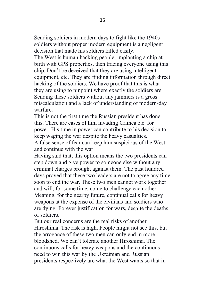Sending soldiers in modern days to fight like the 1940s soldiers without proper modern equipment is a negligent decision that made his soldiers killed easily.

The West is human hacking people, implanting a chip at birth with GPS properties, then tracing everyone using this chip. Don't be deceived that they are using intelligent equipment, etc. They are finding information through direct hacking of the soldiers. We have proof that this is what they are using to pinpoint where exactly the soldiers are. Sending these soldiers without any jammers is a gross miscalculation and a lack of understanding of modern-day warfare.

This is not the first time the Russian president has done this. There are cases of him invading Crimea etc. for power. His time in power can contribute to his decision to keep waging the war despite the heavy casualties.

A false sense of fear can keep him suspicious of the West and continue with the war.

Having said that, this option means the two presidents can step down and give power to someone else without any criminal charges brought against them. The past hundred days proved that these two leaders are not to agree any time soon to end the war. These two men cannot work together and will, for some time, come to challenge each other. Meaning, for the nearby future, continual calls for heavy weapons at the expense of the civilians and soldiers who are dying. Forever justification for wars, despite the deaths of soldiers.

But our real concerns are the real risks of another Hiroshima. The risk is high. People might not see this, but the arrogance of these two men can only end in more bloodshed. We can't tolerate another Hiroshima. The continuous calls for heavy weapons and the continuous need to win this war by the Ukrainian and Russian presidents respectively are what the West wants so that in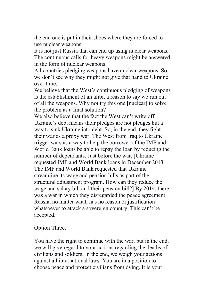the end one is put in their shoes where they are forced to use nuclear weapons.

It is not just Russia that can end up using nuclear weapons. The continuous calls for heavy weapons might be answered in the form of nuclear weapons.

All countries pledging weapons have nuclear weapons. So, we don't see why they might not give that hand to Ukraine over time.

We believe that the West's continuous pledging of weapons is the establishment of an alibi, a reason to say we run out of all the weapons. Why not try this one [nuclear] to solve the problem as a final solution?

We also believe that the fact the West can't write off Ukraine's debt means their pledges are not pledges but a way to sink Ukraine into debt. So, in the end, they fight their war as a proxy war. The West from Iraq to Ukraine trigger wars as a way to help the borrower of the IMF and World Bank loans be able to repay the loan by reducing the number of dependants. Just before the war. [Ukraine requested IMF and World Bank loans in December 2013. The IMF and World Bank requested that Ukraine streamline its wage and pension bills as part of the structural adjustment program. How can they reduce the wage and salary bill and their pension bill?] By 2014, there was a war in which they disregarded the peace agreement. Russia, no matter what, has no reason or justification whatsoever to attack a sovereign country. This can't be accepted.

Option Three.

You have the right to continue with the war, but in the end, we will give regard to your actions regarding the deaths of civilians and soldiers. In the end, we weigh your actions against all international laws. You are in a position to choose peace and protect civilians from dying. It is your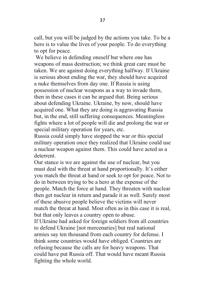call, but you will be judged by the actions you take. To be a hero is to value the lives of your people. To do everything to opt for peace.

We believe in defending oneself but where one has weapons of mass destruction; we think great care must be taken. We are against doing everything halfway. If Ukraine is serious about ending the war, they should have acquired a nuke themselves from day one. If Russia is using possession of nuclear weapons as a way to invade them, then in these cases it can be argued that. Being serious about defending Ukraine. Ukraine, by now, should have acquired one. What they are doing is aggravating Russia but, in the end, still suffering consequences. Meaningless fights where a lot of people will die and prolong the war or special military operation for years, etc.

Russia could simply have stopped the war or this special military operation once they realized that Ukraine could use a nuclear weapon against them. This could have acted as a deterrent.

Our stance is we are against the use of nuclear, but you must deal with the threat at hand proportionally. It's either you match the threat at hand or seek to opt for peace. Not to do in between trying to be a hero at the expense of the people. Match the force at hand. They threaten with nuclear then get nuclear in return and parade it as well. Surely most of these abusive people believe the victims will never match the threat at hand. Most often as in this case it is real, but that only leaves a country open to abuse.

If Ukraine had asked for foreign soldiers from all countries to defend Ukraine [not mercenaries] but real national armies say ten thousand from each country for defense. I think some countries would have obliged. Countries are refusing because the calls are for heavy weapons. That could have put Russia off. That would have meant Russia fighting the whole world.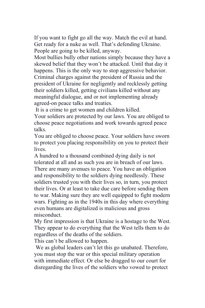If you want to fight go all the way. Match the evil at hand. Get ready for a nuke as well. That's defending Ukraine. People are going to be killed, anyway.

Most bullies bully other nations simply because they have a skewed belief that they won't be attacked. Until that day it happens. This is the only way to stop aggressive behavior. Criminal charges against the president of Russia and the president of Ukraine for negligently and recklessly getting their soldiers killed, getting civilians killed without any meaningful dialogue, and or not implementing already agreed-on peace talks and treaties.

It is a crime to get women and children killed.

Your soldiers are protected by our laws. You are obliged to choose peace negotiations and work towards agreed peace talks.

You are obliged to choose peace. Your soldiers have sworn to protect you placing responsibility on you to protect their lives.

A hundred to a thousand combined dying daily is not tolerated at all and as such you are in breach of our laws. There are many avenues to peace. You have an obligation and responsibility to the soldiers dying needlessly. These soldiers trusted you with their lives so, in turn, you protect their lives. Or at least to take due care before sending them to war. Making sure they are well equipped to fight modern wars. Fighting as in the 1940s in this day where everything even humans are digitalized is malicious and gross misconduct.

My first impression is that Ukraine is a hostage to the West. They appear to do everything that the West tells them to do regardless of the deaths of the soldiers.

This can't be allowed to happen.

We as global leaders can't let this go unabated. Therefore, you must stop the war or this special military operation with immediate effect. Or else be dragged to our court for disregarding the lives of the soldiers who vowed to protect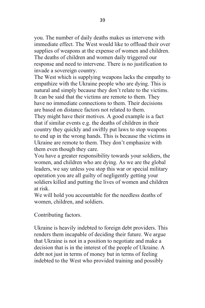you. The number of daily deaths makes us intervene with immediate effect. The West would like to offload their over supplies of weapons at the expense of women and children. The deaths of children and women daily triggered our response and need to intervene. There is no justification to invade a sovereign country.

The West which is supplying weapons lacks the empathy to empathize with the Ukraine people who are dying. This is natural and simply because they don't relate to the victims. It can be said that the victims are remote to them. They have no immediate connections to them. Their decisions are based on distance factors not related to them.

They might have their motives. A good example is a fact that if similar events e.g. the deaths of children in their country they quickly and swiftly put laws to stop weapons to end up in the wrong hands. This is because the victims in Ukraine are remote to them. They don't emphasize with them even though they care.

You have a greater responsibility towards your soldiers, the women, and children who are dying. As we are the global leaders, we say unless you stop this war or special military operation you are all guilty of negligently getting your soldiers killed and putting the lives of women and children at risk.

We will hold you accountable for the needless deaths of women, children, and soldiers.

Contributing factors.

Ukraine is heavily indebted to foreign debt providers. This renders them incapable of deciding their future. We argue that Ukraine is not in a position to negotiate and make a decision that is in the interest of the people of Ukraine. A debt not just in terms of money but in terms of feeling indebted to the West who provided training and possibly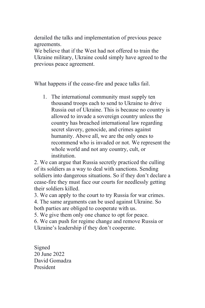derailed the talks and implementation of previous peace agreements.

We believe that if the West had not offered to train the Ukraine military, Ukraine could simply have agreed to the previous peace agreement.

What happens if the cease-fire and peace talks fail.

1. The international community must supply ten thousand troops each to send to Ukraine to drive Russia out of Ukraine. This is because no country is allowed to invade a sovereign country unless the country has breached international law regarding secret slavery, genocide, and crimes against humanity. Above all, we are the only ones to recommend who is invaded or not. We represent the whole world and not any country, cult, or institution.

2. We can argue that Russia secretly practiced the culling of its soldiers as a way to deal with sanctions. Sending soldiers into dangerous situations. So if they don't declare a cease-fire they must face our courts for needlessly getting their soldiers killed.

3. We can apply to the court to try Russia for war crimes. 4. The same arguments can be used against Ukraine. So both parties are obliged to cooperate with us.

5. We give them only one chance to opt for peace.

6. We can push for regime change and remove Russia or Ukraine's leadership if they don't cooperate.

Signed 20 June 2022 David Gomadza President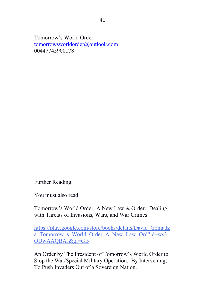Tomorrow's World Order [tomorrowsworldorder@outlook.com](mailto:tomorrowsworldorder@outlook.com) 00447745900178

Further Reading.

You must also read:

Tomorrow's World Order: A New Law & Order.: Dealing with Threats of Invasions, Wars, and War Crimes.

[https://play.google.com/store/books/details/David\\_Gomadz](https://play.google.com/store/books/details/David_Gomadza_Tomorrow_s_World_Order_A_New_Law_Ord?id=ws3ODwAAQBAJ&gl=GB) a Tomorrow s World Order A New Law Ord?id=ws3 [ODwAAQBAJ&gl=GB](https://play.google.com/store/books/details/David_Gomadza_Tomorrow_s_World_Order_A_New_Law_Ord?id=ws3ODwAAQBAJ&gl=GB)

An Order by The President of Tomorrow's World Order to Stop the War/Special Military Operation.: By Intervening, To Push Invaders Out of a Sovereign Nation.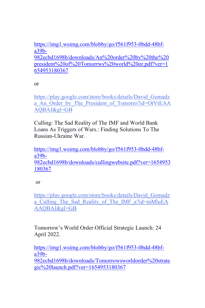[https://img1.wsimg.com/blobby/go/f561f953-0bdd-48bf](https://img1.wsimg.com/blobby/go/f561f953-0bdd-48bf-a39b-982ecbd1698b/downloads/An%20order%20by%20the%20president%20of%20Tomorrws%20world%20or.pdf?ver=1654953180367)[a39b-](https://img1.wsimg.com/blobby/go/f561f953-0bdd-48bf-a39b-982ecbd1698b/downloads/An%20order%20by%20the%20president%20of%20Tomorrws%20world%20or.pdf?ver=1654953180367)[982ecbd1698b/downloads/An%20order%20by%20the%20](https://img1.wsimg.com/blobby/go/f561f953-0bdd-48bf-a39b-982ecbd1698b/downloads/An%20order%20by%20the%20president%20of%20Tomorrws%20world%20or.pdf?ver=1654953180367) [president%20of%20Tomorrws%20world%20or.pdf?ver=1](https://img1.wsimg.com/blobby/go/f561f953-0bdd-48bf-a39b-982ecbd1698b/downloads/An%20order%20by%20the%20president%20of%20Tomorrws%20world%20or.pdf?ver=1654953180367) [654953180367](https://img1.wsimg.com/blobby/go/f561f953-0bdd-48bf-a39b-982ecbd1698b/downloads/An%20order%20by%20the%20president%20of%20Tomorrws%20world%20or.pdf?ver=1654953180367)

or

[https://play.google.com/store/books/details/David\\_Gomadz](https://play.google.com/store/books/details/David_Gomadza_An_Order_by_The_President_of_Tomorro?id=OtVtEAAAQBAJ&gl=GB) a An Order by The President of Tomorro?id=OtVtEAA [AQBAJ&gl=GB](https://play.google.com/store/books/details/David_Gomadza_An_Order_by_The_President_of_Tomorro?id=OtVtEAAAQBAJ&gl=GB)

Culling: The Sad Reality of The IMF and World Bank Loans As Triggers of Wars.: Finding Solutions To The Russian-Ukraine War.

[https://img1.wsimg.com/blobby/go/f561f953-0bdd-48bf](https://img1.wsimg.com/blobby/go/f561f953-0bdd-48bf-a39b-982ecbd1698b/downloads/cullingwebsite.pdf?ver=1654953180367)[a39b-](https://img1.wsimg.com/blobby/go/f561f953-0bdd-48bf-a39b-982ecbd1698b/downloads/cullingwebsite.pdf?ver=1654953180367)[982ecbd1698b/downloads/cullingwebsite.pdf?ver=1654953](https://img1.wsimg.com/blobby/go/f561f953-0bdd-48bf-a39b-982ecbd1698b/downloads/cullingwebsite.pdf?ver=1654953180367) [180367](https://img1.wsimg.com/blobby/go/f561f953-0bdd-48bf-a39b-982ecbd1698b/downloads/cullingwebsite.pdf?ver=1654953180367)

or

[https://play.google.com/store/books/details/David\\_Gomadz](https://play.google.com/store/books/details/David_Gomadza_Culling_The_Sad_Reality_of_The_IMF_a?id=mMluEAAAQBAJ&gl=GB) a Culling The Sad Reality of The IMF a?id=mMluEA [AAQBAJ&gl=GB](https://play.google.com/store/books/details/David_Gomadza_Culling_The_Sad_Reality_of_The_IMF_a?id=mMluEAAAQBAJ&gl=GB)

Tomorrow's World Order Official Strategic Launch: 24 April 2022.

[https://img1.wsimg.com/blobby/go/f561f953-0bdd-48bf](https://img1.wsimg.com/blobby/go/f561f953-0bdd-48bf-a39b-982ecbd1698b/downloads/Tomorrowsworldorder%20strategic%20launch.pdf?ver=1654953180367)[a39b-](https://img1.wsimg.com/blobby/go/f561f953-0bdd-48bf-a39b-982ecbd1698b/downloads/Tomorrowsworldorder%20strategic%20launch.pdf?ver=1654953180367)

[982ecbd1698b/downloads/Tomorrowsworldorder%20strate](https://img1.wsimg.com/blobby/go/f561f953-0bdd-48bf-a39b-982ecbd1698b/downloads/Tomorrowsworldorder%20strategic%20launch.pdf?ver=1654953180367) [gic%20launch.pdf?ver=1654953180367](https://img1.wsimg.com/blobby/go/f561f953-0bdd-48bf-a39b-982ecbd1698b/downloads/Tomorrowsworldorder%20strategic%20launch.pdf?ver=1654953180367)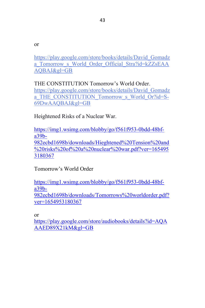or

[https://play.google.com/store/books/details/David\\_Gomadz](https://play.google.com/store/books/details/David_Gomadza_Tomorrow_s_World_Order_Official_Stra?id=kZZsEAAAQBAJ&gl=GB) a Tomorrow s World Order Official Stra?id=kZZsEAA [AQBAJ&gl=GB](https://play.google.com/store/books/details/David_Gomadza_Tomorrow_s_World_Order_Official_Stra?id=kZZsEAAAQBAJ&gl=GB)

THE CONSTITUTION Tomorrow's World Order. [https://play.google.com/store/books/details/David\\_Gomadz](https://play.google.com/store/books/details/David_Gomadza_THE_CONSTITUTION_Tomorrow_s_World_Or?id=S-69DwAAQBAJ&gl=GB) a THE CONSTITUTION Tomorrow s World Or?id=S-[69DwAAQBAJ&gl=GB](https://play.google.com/store/books/details/David_Gomadza_THE_CONSTITUTION_Tomorrow_s_World_Or?id=S-69DwAAQBAJ&gl=GB)

Heightened Risks of a Nuclear War.

[https://img1.wsimg.com/blobby/go/f561f953-0bdd-48bf](https://img1.wsimg.com/blobby/go/f561f953-0bdd-48bf-a39b-982ecbd1698b/downloads/Hieghtened%20Tension%20and%20risks%20of%20a%20nuclear%20war.pdf?ver=1654953180367)[a39b-](https://img1.wsimg.com/blobby/go/f561f953-0bdd-48bf-a39b-982ecbd1698b/downloads/Hieghtened%20Tension%20and%20risks%20of%20a%20nuclear%20war.pdf?ver=1654953180367)[982ecbd1698b/downloads/Hieghtened%20Tension%20and](https://img1.wsimg.com/blobby/go/f561f953-0bdd-48bf-a39b-982ecbd1698b/downloads/Hieghtened%20Tension%20and%20risks%20of%20a%20nuclear%20war.pdf?ver=1654953180367) [%20risks%20of%20a%20nuclear%20war.pdf?ver=165495](https://img1.wsimg.com/blobby/go/f561f953-0bdd-48bf-a39b-982ecbd1698b/downloads/Hieghtened%20Tension%20and%20risks%20of%20a%20nuclear%20war.pdf?ver=1654953180367) [3180367](https://img1.wsimg.com/blobby/go/f561f953-0bdd-48bf-a39b-982ecbd1698b/downloads/Hieghtened%20Tension%20and%20risks%20of%20a%20nuclear%20war.pdf?ver=1654953180367)

Tomorrow's World Order

[https://img1.wsimg.com/blobby/go/f561f953-0bdd-48bf](https://img1.wsimg.com/blobby/go/f561f953-0bdd-48bf-a39b-982ecbd1698b/downloads/Tomorrows%20worldorder.pdf?ver=1654953180367)[a39b-](https://img1.wsimg.com/blobby/go/f561f953-0bdd-48bf-a39b-982ecbd1698b/downloads/Tomorrows%20worldorder.pdf?ver=1654953180367)[982ecbd1698b/downloads/Tomorrows%20worldorder.pdf?](https://img1.wsimg.com/blobby/go/f561f953-0bdd-48bf-a39b-982ecbd1698b/downloads/Tomorrows%20worldorder.pdf?ver=1654953180367) [ver=1654953180367](https://img1.wsimg.com/blobby/go/f561f953-0bdd-48bf-a39b-982ecbd1698b/downloads/Tomorrows%20worldorder.pdf?ver=1654953180367)

or

[https://play.google.com/store/audiobooks/details?id=AQA](https://play.google.com/store/audiobooks/details?id=AQAAAED89X21kM&gl=GB) [AAED89X21kM&gl=GB](https://play.google.com/store/audiobooks/details?id=AQAAAED89X21kM&gl=GB)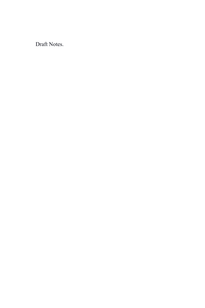Draft Notes.